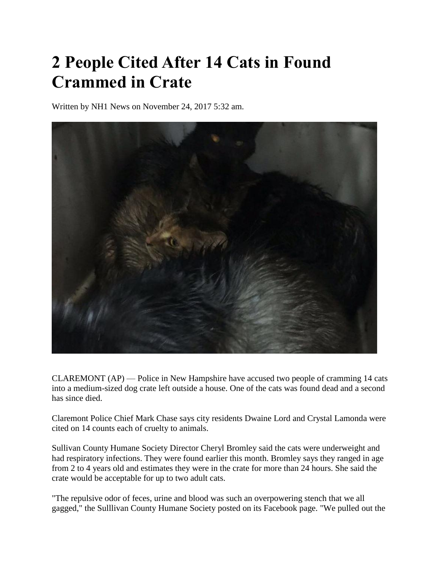## **2 People Cited After 14 Cats in Found Crammed in Crate**

Written by NH1 News on November 24, 2017 5:32 am.



CLAREMONT (AP) — Police in New Hampshire have accused two people of cramming 14 cats into a medium-sized dog crate left outside a house. One of the cats was found dead and a second has since died.

Claremont Police Chief Mark Chase says city residents Dwaine Lord and Crystal Lamonda were cited on 14 counts each of cruelty to animals.

Sullivan County Humane Society Director Cheryl Bromley said the cats were underweight and had respiratory infections. They were found earlier this month. Bromley says they ranged in age from 2 to 4 years old and estimates they were in the crate for more than 24 hours. She said the crate would be acceptable for up to two adult cats.

"The repulsive odor of feces, urine and blood was such an overpowering stench that we all gagged," the Sulllivan County Humane Society posted on its Facebook page. "We pulled out the